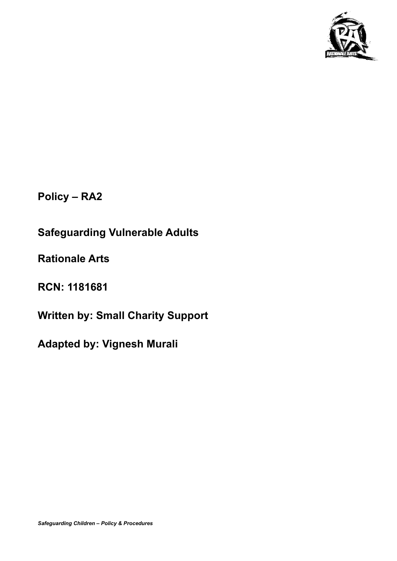

**Policy – RA2**

**Safeguarding Vulnerable Adults**

**Rationale Arts**

**RCN: 1181681**

**Written by: Small Charity Support**

**Adapted by: Vignesh Murali**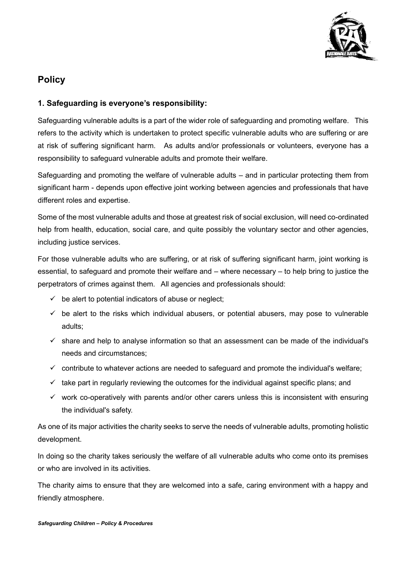

## **Policy**

## **1. Safeguarding is everyone's responsibility:**

Safeguarding vulnerable adults is a part of the wider role of safeguarding and promoting welfare. This refers to the activity which is undertaken to protect specific vulnerable adults who are suffering or are at risk of suffering significant harm. As adults and/or professionals or volunteers, everyone has a responsibility to safeguard vulnerable adults and promote their welfare.

Safeguarding and promoting the welfare of vulnerable adults – and in particular protecting them from significant harm - depends upon effective joint working between agencies and professionals that have different roles and expertise.

Some of the most vulnerable adults and those at greatest risk of social exclusion, will need co-ordinated help from health, education, social care, and quite possibly the voluntary sector and other agencies, including justice services.

For those vulnerable adults who are suffering, or at risk of suffering significant harm, joint working is essential, to safeguard and promote their welfare and – where necessary – to help bring to justice the perpetrators of crimes against them. All agencies and professionals should:

- $\checkmark$  be alert to potential indicators of abuse or neglect;
- $\checkmark$  be alert to the risks which individual abusers, or potential abusers, may pose to vulnerable adults;
- $\checkmark$  share and help to analyse information so that an assessment can be made of the individual's needs and circumstances;
- $\checkmark$  contribute to whatever actions are needed to safeguard and promote the individual's welfare;
- $\checkmark$  take part in regularly reviewing the outcomes for the individual against specific plans; and
- $\checkmark$  work co-operatively with parents and/or other carers unless this is inconsistent with ensuring the individual's safety.

As one of its major activities the charity seeks to serve the needs of vulnerable adults, promoting holistic development.

In doing so the charity takes seriously the welfare of all vulnerable adults who come onto its premises or who are involved in its activities.

The charity aims to ensure that they are welcomed into a safe, caring environment with a happy and friendly atmosphere.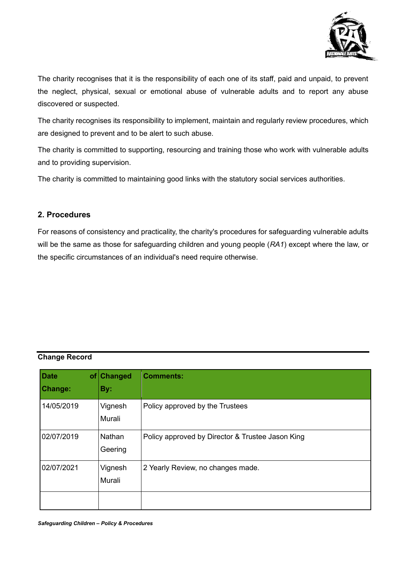

The charity recognises that it is the responsibility of each one of its staff, paid and unpaid, to prevent the neglect, physical, sexual or emotional abuse of vulnerable adults and to report any abuse discovered or suspected.

The charity recognises its responsibility to implement, maintain and regularly review procedures, which are designed to prevent and to be alert to such abuse.

The charity is committed to supporting, resourcing and training those who work with vulnerable adults and to providing supervision.

The charity is committed to maintaining good links with the statutory social services authorities.

## **2. Procedures**

For reasons of consistency and practicality, the charity's procedures for safeguarding vulnerable adults will be the same as those for safeguarding children and young people (*RA1*) except where the law, or the specific circumstances of an individual's need require otherwise.

## **Change Record**

| <b>Date</b><br>of <sub>l</sub><br><b>Change:</b> | <b>Changed</b><br>By: | <b>Comments:</b>                                 |
|--------------------------------------------------|-----------------------|--------------------------------------------------|
| 14/05/2019                                       | Vignesh<br>Murali     | Policy approved by the Trustees                  |
| 02/07/2019                                       | Nathan<br>Geering     | Policy approved by Director & Trustee Jason King |
| 02/07/2021                                       | Vignesh<br>Murali     | 2 Yearly Review, no changes made.                |
|                                                  |                       |                                                  |